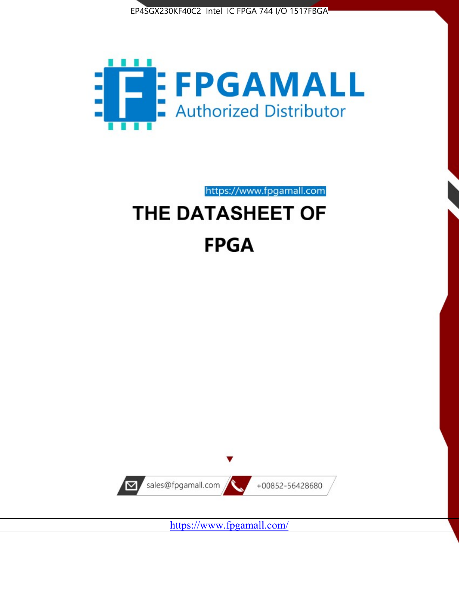



https://www.fpgamall.com

# THE DATASHEET OF **FPGA**



<https://www.fpgamall.com/>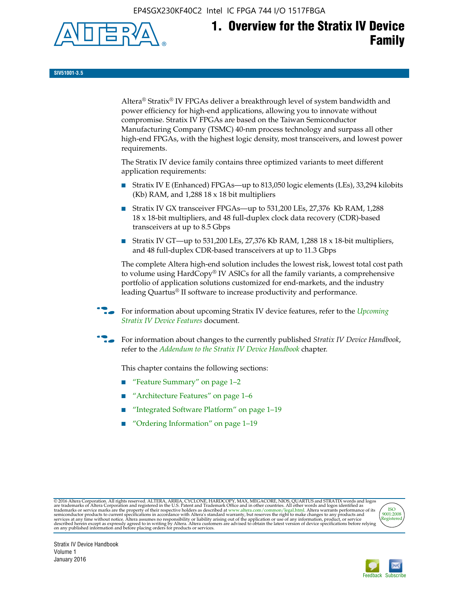EP4SGX230KF40C2 Intel IC FPGA 744 I/O 1517FBGA



# **1. Overview for the Stratix IV Device Family**

**SIV51001-3.5**

Altera® Stratix® IV FPGAs deliver a breakthrough level of system bandwidth and power efficiency for high-end applications, allowing you to innovate without compromise. Stratix IV FPGAs are based on the Taiwan Semiconductor Manufacturing Company (TSMC) 40-nm process technology and surpass all other high-end FPGAs, with the highest logic density, most transceivers, and lowest power requirements.

The Stratix IV device family contains three optimized variants to meet different application requirements:

- Stratix IV E (Enhanced) FPGAs—up to 813,050 logic elements (LEs), 33,294 kilobits (Kb) RAM, and 1,288 18 x 18 bit multipliers
- Stratix IV GX transceiver FPGAs—up to 531,200 LEs, 27,376 Kb RAM, 1,288 18 x 18-bit multipliers, and 48 full-duplex clock data recovery (CDR)-based transceivers at up to 8.5 Gbps
- Stratix IV GT—up to 531,200 LEs, 27,376 Kb RAM, 1,288 18 x 18-bit multipliers, and 48 full-duplex CDR-based transceivers at up to 11.3 Gbps

The complete Altera high-end solution includes the lowest risk, lowest total cost path to volume using HardCopy® IV ASICs for all the family variants, a comprehensive portfolio of application solutions customized for end-markets, and the industry leading Quartus® II software to increase productivity and performance.

f For information about upcoming Stratix IV device features, refer to the *[Upcoming](http://www.altera.com/literature/hb/stratix-iv/uf01001.pdf?GSA_pos=2&WT.oss_r=1&WT.oss=upcoming)  [Stratix IV Device Features](http://www.altera.com/literature/hb/stratix-iv/uf01001.pdf?GSA_pos=2&WT.oss_r=1&WT.oss=upcoming)* document.

f For information about changes to the currently published *Stratix IV Device Handbook*, refer to the *[Addendum to the Stratix IV Device Handbook](http://www.altera.com/literature/hb/stratix-iv/stx4_siv54002.pdf)* chapter.

This chapter contains the following sections:

- "Feature Summary" on page 1–2
- "Architecture Features" on page 1–6
- "Integrated Software Platform" on page 1–19
- "Ordering Information" on page 1–19

@2016 Altera Corporation. All rights reserved. ALTERA, ARRIA, CYCLONE, HARDCOPY, MAX, MEGACORE, NIOS, QUARTUS and STRATIX words and logos are trademarks of Altera Corporation and registered in the U.S. Patent and Trademark



Stratix IV Device Handbook Volume 1 January 2016

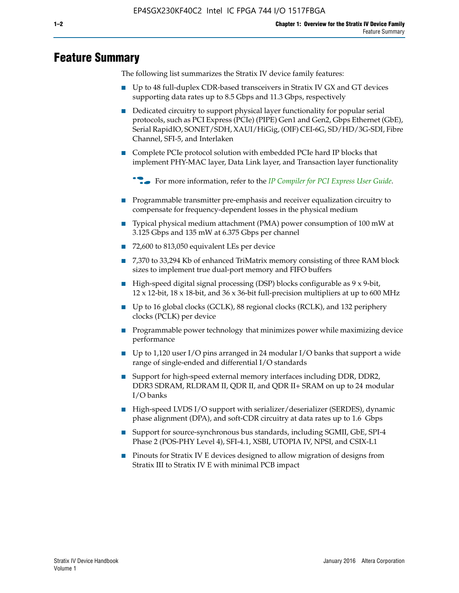# **Feature Summary**

The following list summarizes the Stratix IV device family features:

- Up to 48 full-duplex CDR-based transceivers in Stratix IV GX and GT devices supporting data rates up to 8.5 Gbps and 11.3 Gbps, respectively
- Dedicated circuitry to support physical layer functionality for popular serial protocols, such as PCI Express (PCIe) (PIPE) Gen1 and Gen2, Gbps Ethernet (GbE), Serial RapidIO, SONET/SDH, XAUI/HiGig, (OIF) CEI-6G, SD/HD/3G-SDI, Fibre Channel, SFI-5, and Interlaken
- Complete PCIe protocol solution with embedded PCIe hard IP blocks that implement PHY-MAC layer, Data Link layer, and Transaction layer functionality

**For more information, refer to the** *[IP Compiler for PCI Express User Guide](http://www.altera.com/literature/ug/ug_pci_express.pdf)***.** 

- Programmable transmitter pre-emphasis and receiver equalization circuitry to compensate for frequency-dependent losses in the physical medium
- Typical physical medium attachment (PMA) power consumption of 100 mW at 3.125 Gbps and 135 mW at 6.375 Gbps per channel
- 72,600 to 813,050 equivalent LEs per device
- 7,370 to 33,294 Kb of enhanced TriMatrix memory consisting of three RAM block sizes to implement true dual-port memory and FIFO buffers
- High-speed digital signal processing (DSP) blocks configurable as 9 x 9-bit,  $12 \times 12$ -bit,  $18 \times 18$ -bit, and  $36 \times 36$ -bit full-precision multipliers at up to 600 MHz
- Up to 16 global clocks (GCLK), 88 regional clocks (RCLK), and 132 periphery clocks (PCLK) per device
- Programmable power technology that minimizes power while maximizing device performance
- Up to 1,120 user I/O pins arranged in 24 modular I/O banks that support a wide range of single-ended and differential I/O standards
- Support for high-speed external memory interfaces including DDR, DDR2, DDR3 SDRAM, RLDRAM II, QDR II, and QDR II+ SRAM on up to 24 modular I/O banks
- High-speed LVDS I/O support with serializer/deserializer (SERDES), dynamic phase alignment (DPA), and soft-CDR circuitry at data rates up to 1.6 Gbps
- Support for source-synchronous bus standards, including SGMII, GbE, SPI-4 Phase 2 (POS-PHY Level 4), SFI-4.1, XSBI, UTOPIA IV, NPSI, and CSIX-L1
- Pinouts for Stratix IV E devices designed to allow migration of designs from Stratix III to Stratix IV E with minimal PCB impact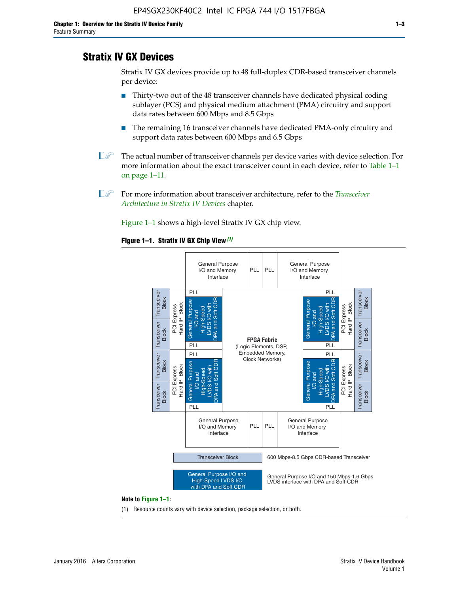## **Stratix IV GX Devices**

Stratix IV GX devices provide up to 48 full-duplex CDR-based transceiver channels per device:

- Thirty-two out of the 48 transceiver channels have dedicated physical coding sublayer (PCS) and physical medium attachment (PMA) circuitry and support data rates between 600 Mbps and 8.5 Gbps
- The remaining 16 transceiver channels have dedicated PMA-only circuitry and support data rates between 600 Mbps and 6.5 Gbps
- **1 The actual number of transceiver channels per device varies with device selection. For** more information about the exact transceiver count in each device, refer to Table 1–1 on page 1–11.
- 1 For more information about transceiver architecture, refer to the *[Transceiver](http://www.altera.com/literature/hb/stratix-iv/stx4_siv52001.pdf)  [Architecture in Stratix IV Devices](http://www.altera.com/literature/hb/stratix-iv/stx4_siv52001.pdf)* chapter.

Figure 1–1 shows a high-level Stratix IV GX chip view.

#### **Figure 1–1. Stratix IV GX Chip View** *(1)*



#### **Note to Figure 1–1:**

(1) Resource counts vary with device selection, package selection, or both.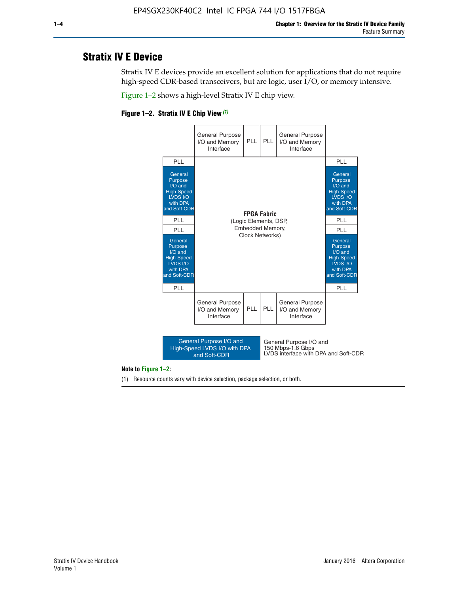## **Stratix IV E Device**

Stratix IV E devices provide an excellent solution for applications that do not require high-speed CDR-based transceivers, but are logic, user I/O, or memory intensive.

Figure 1–2 shows a high-level Stratix IV E chip view.





#### **Note to Figure 1–2:**

(1) Resource counts vary with device selection, package selection, or both.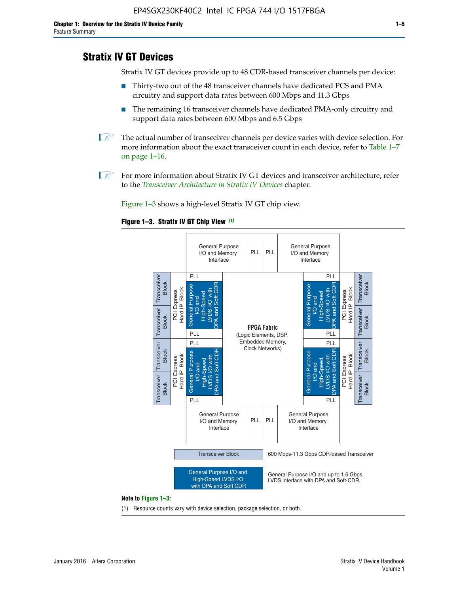# **Stratix IV GT Devices**

Stratix IV GT devices provide up to 48 CDR-based transceiver channels per device:

- Thirty-two out of the 48 transceiver channels have dedicated PCS and PMA circuitry and support data rates between 600 Mbps and 11.3 Gbps
- The remaining 16 transceiver channels have dedicated PMA-only circuitry and support data rates between 600 Mbps and 6.5 Gbps
- **1** The actual number of transceiver channels per device varies with device selection. For more information about the exact transceiver count in each device, refer to Table 1–7 on page 1–16.
- $\mathbb{I}$  For more information about Stratix IV GT devices and transceiver architecture, refer to the *[Transceiver Architecture in Stratix IV Devices](http://www.altera.com/literature/hb/stratix-iv/stx4_siv52001.pdf)* chapter.

Figure 1–3 shows a high-level Stratix IV GT chip view.





(1) Resource counts vary with device selection, package selection, or both.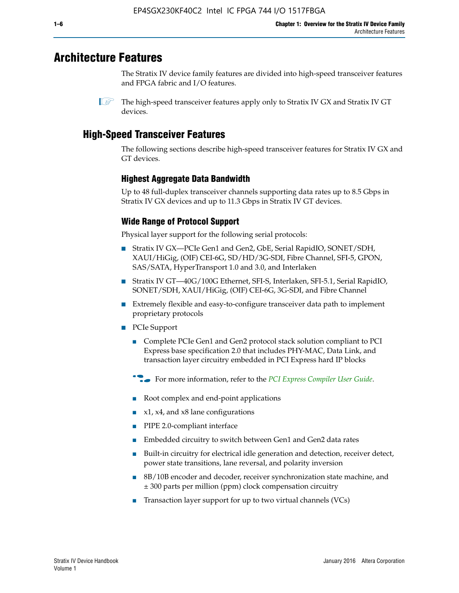# **Architecture Features**

The Stratix IV device family features are divided into high-speed transceiver features and FPGA fabric and I/O features.

 $\mathbb{I}$  The high-speed transceiver features apply only to Stratix IV GX and Stratix IV GT devices.

# **High-Speed Transceiver Features**

The following sections describe high-speed transceiver features for Stratix IV GX and GT devices.

## **Highest Aggregate Data Bandwidth**

Up to 48 full-duplex transceiver channels supporting data rates up to 8.5 Gbps in Stratix IV GX devices and up to 11.3 Gbps in Stratix IV GT devices.

## **Wide Range of Protocol Support**

Physical layer support for the following serial protocols:

- Stratix IV GX—PCIe Gen1 and Gen2, GbE, Serial RapidIO, SONET/SDH, XAUI/HiGig, (OIF) CEI-6G, SD/HD/3G-SDI, Fibre Channel, SFI-5, GPON, SAS/SATA, HyperTransport 1.0 and 3.0, and Interlaken
- Stratix IV GT—40G/100G Ethernet, SFI-S, Interlaken, SFI-5.1, Serial RapidIO, SONET/SDH, XAUI/HiGig, (OIF) CEI-6G, 3G-SDI, and Fibre Channel
- Extremely flexible and easy-to-configure transceiver data path to implement proprietary protocols
- PCIe Support
	- Complete PCIe Gen1 and Gen2 protocol stack solution compliant to PCI Express base specification 2.0 that includes PHY-MAC, Data Link, and transaction layer circuitry embedded in PCI Express hard IP blocks
	- **For more information, refer to the [PCI Express Compiler User Guide](http://www.altera.com/literature/ug/ug_pci_express.pdf).**
	- Root complex and end-point applications
	- $x1, x4,$  and  $x8$  lane configurations
	- PIPE 2.0-compliant interface
	- Embedded circuitry to switch between Gen1 and Gen2 data rates
	- Built-in circuitry for electrical idle generation and detection, receiver detect, power state transitions, lane reversal, and polarity inversion
	- 8B/10B encoder and decoder, receiver synchronization state machine, and ± 300 parts per million (ppm) clock compensation circuitry
	- Transaction layer support for up to two virtual channels (VCs)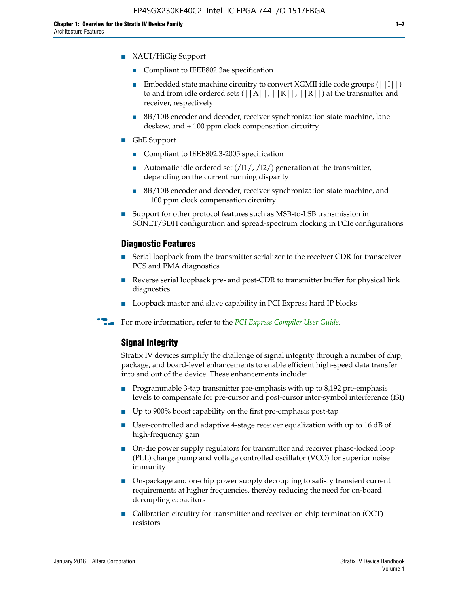- XAUI/HiGig Support
	- Compliant to IEEE802.3ae specification
	- **■** Embedded state machine circuitry to convert XGMII idle code groups  $(|11|)$ to and from idle ordered sets  $(|A|, |K|, |R|)$  at the transmitter and receiver, respectively
	- 8B/10B encoder and decoder, receiver synchronization state machine, lane deskew, and  $\pm 100$  ppm clock compensation circuitry
- GbE Support
	- Compliant to IEEE802.3-2005 specification
	- Automatic idle ordered set  $(111/112/1)$  generation at the transmitter, depending on the current running disparity
	- 8B/10B encoder and decoder, receiver synchronization state machine, and ± 100 ppm clock compensation circuitry
- Support for other protocol features such as MSB-to-LSB transmission in SONET/SDH configuration and spread-spectrum clocking in PCIe configurations

## **Diagnostic Features**

- Serial loopback from the transmitter serializer to the receiver CDR for transceiver PCS and PMA diagnostics
- Reverse serial loopback pre- and post-CDR to transmitter buffer for physical link diagnostics
- Loopback master and slave capability in PCI Express hard IP blocks
- **For more information, refer to the** *[PCI Express Compiler User Guide](http://www.altera.com/literature/ug/ug_pci_express.pdf)***.**

## **Signal Integrity**

Stratix IV devices simplify the challenge of signal integrity through a number of chip, package, and board-level enhancements to enable efficient high-speed data transfer into and out of the device. These enhancements include:

- Programmable 3-tap transmitter pre-emphasis with up to 8,192 pre-emphasis levels to compensate for pre-cursor and post-cursor inter-symbol interference (ISI)
- Up to 900% boost capability on the first pre-emphasis post-tap
- User-controlled and adaptive 4-stage receiver equalization with up to 16 dB of high-frequency gain
- On-die power supply regulators for transmitter and receiver phase-locked loop (PLL) charge pump and voltage controlled oscillator (VCO) for superior noise immunity
- On-package and on-chip power supply decoupling to satisfy transient current requirements at higher frequencies, thereby reducing the need for on-board decoupling capacitors
- Calibration circuitry for transmitter and receiver on-chip termination (OCT) resistors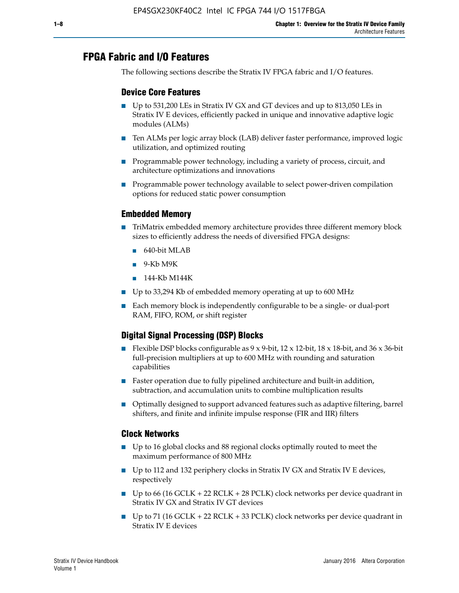# **FPGA Fabric and I/O Features**

The following sections describe the Stratix IV FPGA fabric and I/O features.

## **Device Core Features**

- Up to 531,200 LEs in Stratix IV GX and GT devices and up to 813,050 LEs in Stratix IV E devices, efficiently packed in unique and innovative adaptive logic modules (ALMs)
- Ten ALMs per logic array block (LAB) deliver faster performance, improved logic utilization, and optimized routing
- Programmable power technology, including a variety of process, circuit, and architecture optimizations and innovations
- Programmable power technology available to select power-driven compilation options for reduced static power consumption

#### **Embedded Memory**

- TriMatrix embedded memory architecture provides three different memory block sizes to efficiently address the needs of diversified FPGA designs:
	- 640-bit MLAB
	- 9-Kb M9K
	- 144-Kb M144K
- Up to 33,294 Kb of embedded memory operating at up to 600 MHz
- Each memory block is independently configurable to be a single- or dual-port RAM, FIFO, ROM, or shift register

## **Digital Signal Processing (DSP) Blocks**

- Flexible DSP blocks configurable as  $9 \times 9$ -bit,  $12 \times 12$ -bit,  $18 \times 18$ -bit, and  $36 \times 36$ -bit full-precision multipliers at up to 600 MHz with rounding and saturation capabilities
- Faster operation due to fully pipelined architecture and built-in addition, subtraction, and accumulation units to combine multiplication results
- Optimally designed to support advanced features such as adaptive filtering, barrel shifters, and finite and infinite impulse response (FIR and IIR) filters

#### **Clock Networks**

- Up to 16 global clocks and 88 regional clocks optimally routed to meet the maximum performance of 800 MHz
- Up to 112 and 132 periphery clocks in Stratix IV GX and Stratix IV E devices, respectively
- Up to 66 (16 GCLK + 22 RCLK + 28 PCLK) clock networks per device quadrant in Stratix IV GX and Stratix IV GT devices
- Up to 71 (16 GCLK + 22 RCLK + 33 PCLK) clock networks per device quadrant in Stratix IV E devices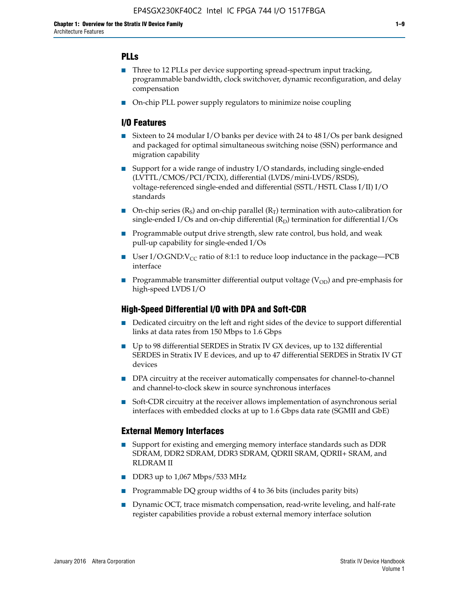## **PLLs**

- Three to 12 PLLs per device supporting spread-spectrum input tracking, programmable bandwidth, clock switchover, dynamic reconfiguration, and delay compensation
- On-chip PLL power supply regulators to minimize noise coupling

### **I/O Features**

- Sixteen to 24 modular I/O banks per device with 24 to 48 I/Os per bank designed and packaged for optimal simultaneous switching noise (SSN) performance and migration capability
- Support for a wide range of industry I/O standards, including single-ended (LVTTL/CMOS/PCI/PCIX), differential (LVDS/mini-LVDS/RSDS), voltage-referenced single-ended and differential (SSTL/HSTL Class I/II) I/O standards
- **O**n-chip series  $(R_S)$  and on-chip parallel  $(R_T)$  termination with auto-calibration for single-ended I/Os and on-chip differential  $(R_D)$  termination for differential I/Os
- Programmable output drive strength, slew rate control, bus hold, and weak pull-up capability for single-ended I/Os
- User I/O:GND: $V_{CC}$  ratio of 8:1:1 to reduce loop inductance in the package—PCB interface
- **■** Programmable transmitter differential output voltage ( $V_{OD}$ ) and pre-emphasis for high-speed LVDS I/O

#### **High-Speed Differential I/O with DPA and Soft-CDR**

- Dedicated circuitry on the left and right sides of the device to support differential links at data rates from 150 Mbps to 1.6 Gbps
- Up to 98 differential SERDES in Stratix IV GX devices, up to 132 differential SERDES in Stratix IV E devices, and up to 47 differential SERDES in Stratix IV GT devices
- DPA circuitry at the receiver automatically compensates for channel-to-channel and channel-to-clock skew in source synchronous interfaces
- Soft-CDR circuitry at the receiver allows implementation of asynchronous serial interfaces with embedded clocks at up to 1.6 Gbps data rate (SGMII and GbE)

#### **External Memory Interfaces**

- Support for existing and emerging memory interface standards such as DDR SDRAM, DDR2 SDRAM, DDR3 SDRAM, QDRII SRAM, QDRII+ SRAM, and RLDRAM II
- DDR3 up to 1,067 Mbps/533 MHz
- Programmable DQ group widths of 4 to 36 bits (includes parity bits)
- Dynamic OCT, trace mismatch compensation, read-write leveling, and half-rate register capabilities provide a robust external memory interface solution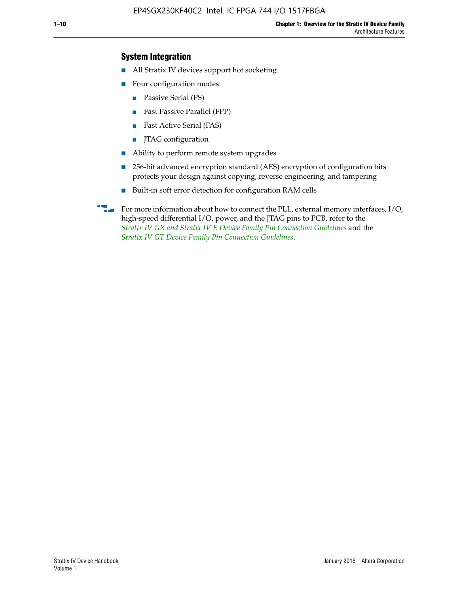## **System Integration**

- All Stratix IV devices support hot socketing
- Four configuration modes:
	- Passive Serial (PS)
	- Fast Passive Parallel (FPP)
	- Fast Active Serial (FAS)
	- JTAG configuration
- Ability to perform remote system upgrades
- 256-bit advanced encryption standard (AES) encryption of configuration bits protects your design against copying, reverse engineering, and tampering
- Built-in soft error detection for configuration RAM cells
- For more information about how to connect the PLL, external memory interfaces,  $I/O$ , high-speed differential I/O, power, and the JTAG pins to PCB, refer to the *[Stratix IV GX and Stratix IV E Device Family Pin Connection Guidelines](http://www.altera.com/literature/dp/stratix4/PCG-01005.pdf)* and the *[Stratix IV GT Device Family Pin Connection Guidelines](http://www.altera.com/literature/dp/stratix4/PCG-01006.pdf)*.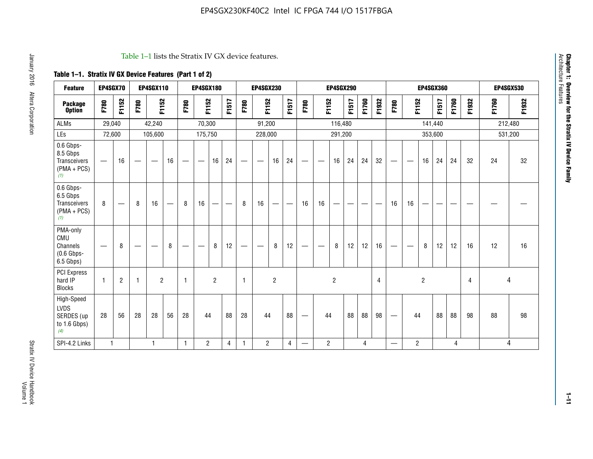#### Table 1–1 lists the Stratix IV GX device features.

## **Table 1–1. Stratix IV GX Device Features (Part 1 of 2)**

| <b>Feature</b>                                                 | EP4SGX70                 |                |                                  | <b>EP4SGX110</b>  |    |                                | <b>EP4SGX180</b>               |                |       |              | <b>EP4SGX230</b>         |                |       |                   |                | <b>EP4SGX290</b> |       |       |                |                                 |                   | <b>EP4SGX360</b> |         |       |       |         | <b>EP4SGX530</b> |
|----------------------------------------------------------------|--------------------------|----------------|----------------------------------|-------------------|----|--------------------------------|--------------------------------|----------------|-------|--------------|--------------------------|----------------|-------|-------------------|----------------|------------------|-------|-------|----------------|---------------------------------|-------------------|------------------|---------|-------|-------|---------|------------------|
| <b>Package</b><br><b>Option</b>                                | F780                     | F1152          | F780                             | F1152             |    | F780                           | F1152                          |                | F1517 | F780         | F1152                    |                | F1517 | F780              | F1152          |                  | F1517 | F1760 | F1932          | F780                            | F1152             |                  | F1517   | F1760 | F1932 | F1760   | F1932            |
| <b>ALMs</b>                                                    | 29,040                   |                |                                  | 42,240            |    |                                | 70,300                         |                |       |              | 91,200                   |                |       |                   |                | 116,480          |       |       |                |                                 |                   |                  | 141,440 |       |       | 212,480 |                  |
| LEs                                                            | 72,600                   |                |                                  | 105,600           |    |                                | 175,750                        |                |       |              | 228,000                  |                |       |                   |                | 291,200          |       |       |                |                                 |                   |                  | 353,600 |       |       |         | 531,200          |
| 0.6 Gbps-<br>8.5 Gbps<br>Transceivers<br>$(PMA + PCs)$<br>(1)  | $\overline{\phantom{0}}$ | 16             | $\hspace{0.05cm}$                | $\hspace{0.05cm}$ | 16 | $\qquad \qquad \longleftarrow$ | $\hspace{0.05cm}$              | 16             | 24    |              | $\overline{\phantom{a}}$ | 16             | 24    | —                 |                | 16               | 24    | 24    | 32             | $\overline{\phantom{0}}$        | $\hspace{0.05cm}$ | 16               | 24      | 24    | 32    | 24      | 32               |
| 0.6 Gbps-<br>6.5 Gbps<br>Transceivers<br>$(PMA + PCs)$<br>(1)  | 8                        |                | 8                                | 16                |    | 8                              | 16                             | ÷              |       | 8            | 16                       | —              |       | 16                | 16             |                  |       |       |                | 16                              | 16                |                  |         |       |       |         |                  |
| PMA-only<br>CMU<br>Channels<br>$(0.6$ Gbps-<br>6.5 Gbps)       | $\overline{\phantom{0}}$ | 8              | $\overbrace{\phantom{12322111}}$ |                   | 8  | $\qquad \qquad \longleftarrow$ | $\qquad \qquad \longleftarrow$ | 8              | 12    |              |                          | 8              | 12    | $\hspace{0.05cm}$ |                | 8                | 12    | 12    | 16             | $\overline{\phantom{0}}$        | $\hspace{0.05cm}$ | 8                | 12      | 12    | 16    | 12      | 16               |
| PCI Express<br>hard IP<br><b>Blocks</b>                        | $\mathbf{1}$             | $\overline{2}$ | $\mathbf 1$                      | $\overline{2}$    |    | $\mathbf{1}$                   |                                | $\overline{2}$ |       | $\mathbf{1}$ |                          | $\overline{c}$ |       |                   |                | $\overline{c}$   |       |       | $\overline{4}$ |                                 |                   | $\overline{2}$   |         |       | 4     |         | 4                |
| High-Speed<br><b>LVDS</b><br>SERDES (up<br>to 1.6 Gbps)<br>(4) | 28                       | 56             | 28                               | 28                | 56 | 28                             | 44                             |                | 88    | 28           | 44                       |                | 88    | —                 | 44             |                  | 88    | 88    | 98             | $\hspace{0.1mm}-\hspace{0.1mm}$ | 44                |                  | 88      | 88    | 98    | 88      | 98               |
| SPI-4.2 Links                                                  | $\mathbf{1}$             |                |                                  | 1                 |    | $\mathbf{1}$                   | $\overline{c}$                 |                | 4     | 1            | $\overline{c}$           |                | 4     | —                 | $\overline{2}$ |                  |       | 4     |                | $\overline{\phantom{0}}$        | $\overline{2}$    |                  |         | 4     |       |         | 4                |

Architecture Features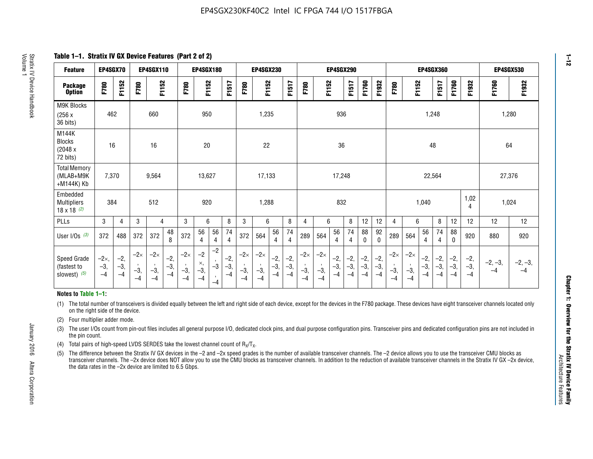**Table 1–1. Stratix IV GX Device Features (Part 2 of 2)**

| <b>Feature</b>                                       | EP4SGX70                |                        |                             | <b>EP4SGX110</b>            |                      |                             | <b>EP4SGX180</b>          |                                              |                        |                             | <b>EP4SGX230</b>            |                        |                      |                             |                             | EP4SGX290              |                      |                        |                        |                             |                             |                        | <b>EP4SGX360</b>     |                        |                        | <b>EP4SGX530</b>  |                   |
|------------------------------------------------------|-------------------------|------------------------|-----------------------------|-----------------------------|----------------------|-----------------------------|---------------------------|----------------------------------------------|------------------------|-----------------------------|-----------------------------|------------------------|----------------------|-----------------------------|-----------------------------|------------------------|----------------------|------------------------|------------------------|-----------------------------|-----------------------------|------------------------|----------------------|------------------------|------------------------|-------------------|-------------------|
| <b>Package</b><br><b>Option</b>                      | F780                    | F1152                  | F780                        | F1152                       |                      | F780                        | F1152                     |                                              | F1517                  | F780                        | F1152                       |                        | F1517                | F780                        | F1152                       |                        | F1517                | F1760                  | F1932                  | F780                        | F1152                       |                        | F1517                | F1760                  | F1932                  | F1760             | F1932             |
| M9K Blocks<br>(256x)<br>36 bits)                     | 462                     |                        |                             | 660                         |                      |                             | 950                       |                                              |                        |                             | 1,235                       |                        |                      |                             |                             | 936                    |                      |                        |                        |                             |                             | 1,248                  |                      |                        |                        | 1,280             |                   |
| M144K<br>Blocks<br>(2048 x<br>72 bits)               | 16                      |                        |                             | 16                          |                      |                             | 20                        |                                              |                        |                             | 22                          |                        |                      |                             |                             | 36                     |                      |                        |                        |                             |                             | 48                     |                      |                        |                        | 64                |                   |
| <b>Total Memory</b><br>(MLAB+M9K<br>+M144K) Kb       | 7,370                   |                        |                             | 9,564                       |                      |                             | 13,627                    |                                              |                        |                             | 17,133                      |                        |                      |                             |                             | 17,248                 |                      |                        |                        |                             |                             | 22,564                 |                      |                        |                        | 27,376            |                   |
| Embedded<br><b>Multipliers</b><br>$18 \times 18$ (2) | 384                     |                        |                             | 512                         |                      |                             | 920                       |                                              |                        |                             | 1,288                       |                        |                      |                             |                             | 832                    |                      |                        |                        |                             |                             | 1,040                  |                      |                        | 1,02<br>4              | 1,024             |                   |
| PLLs                                                 | 3                       | 4                      | 3                           | 4                           |                      | 3                           | 6                         |                                              | 8                      | 3                           | 6                           |                        | 8                    | 4                           | 6                           |                        | 8                    | 12                     | 12                     | 4                           | 6                           |                        | 8                    | 12                     | 12                     | 12                | 12                |
| User I/Os $(3)$                                      | 372                     | 488                    | 372                         | 372                         | 48<br>8              | 372                         | 56<br>4                   | 56<br>4                                      | 74<br>$\overline{4}$   | 372                         | 564                         | 56<br>4                | 74<br>$\overline{4}$ | 289                         | 564                         | 56<br>4                | 74<br>4              | 88<br>0                | 92<br>$\mathbf 0$      | 289                         | 564                         | 56<br>4                | 74<br>4              | 88<br>0                | 920                    | 880               | 920               |
| Speed Grade<br>(fastest to<br>slowest) (5)           | $-2x,$<br>$-3,$<br>$-4$ | $-2,$<br>$-3,$<br>$-4$ | $-2\times$<br>$-3,$<br>$-4$ | $-2\times$<br>$-3,$<br>$-4$ | $-2,$<br>-3,<br>$-4$ | $-2\times$<br>$-3,$<br>$-4$ | $-2$<br>×,<br>$-3,$<br>-4 | $-2$<br>$\,$<br>$-3$<br>$\mathbf{r}$<br>$-4$ | $-2,$<br>$-3,$<br>$-4$ | $-2\times$<br>$-3,$<br>$-4$ | $-2\times$<br>$-3,$<br>$-4$ | $-2,$<br>$-3,$<br>$-4$ | $-2,$<br>-3,<br>$-4$ | $-2\times$<br>$-3,$<br>$-4$ | $-2\times$<br>$-3,$<br>$-4$ | $-2,$<br>$-3,$<br>$-4$ | $-2,$<br>-3,<br>$-4$ | $-2,$<br>$-3,$<br>$-4$ | $-2,$<br>$-3,$<br>$-4$ | $-2\times$<br>$-3,$<br>$-4$ | $-2\times$<br>$-3,$<br>$-4$ | $-2,$<br>$-3,$<br>$-4$ | $-2,$<br>-3,<br>$-4$ | $-2,$<br>$-3,$<br>$-4$ | $-2,$<br>$-3,$<br>$-4$ | $-2, -3,$<br>$-4$ | $-2, -3,$<br>$-4$ |

#### **Notes to Table 1–1:**

(1) The total number of transceivers is divided equally between the left and right side of each device, except for the devices in the F780 package. These devices have eight transceiver channels located only on the right side of the device.

(2) Four multiplier adder mode.

(3) The user I/Os count from pin-out files includes all general purpose I/O, dedicated clock pins, and dual purpose configuration pins. Transceiver pins and dedicated configuration pins are not included in the pin count.

- (4) Total pairs of high-speed LVDS SERDES take the lowest channel count of  $R_X/T_X$ .
- (5) The difference between the Stratix IV GX devices in the –2 and –2x speed grades is the number of available transceiver channels. The –2 device allows you to use the transceiver CMU blocks as transceiver channels. The –2x device does NOT allow you to use the CMU blocks as transceiver channels. In addition to the reduction of available transceiver channels in the Stratix IV GX –2x device, the data rates in the –2x device are limited to 6.5 Gbps.

January 2016 Altera Corporation

Altera Corporation

January 2016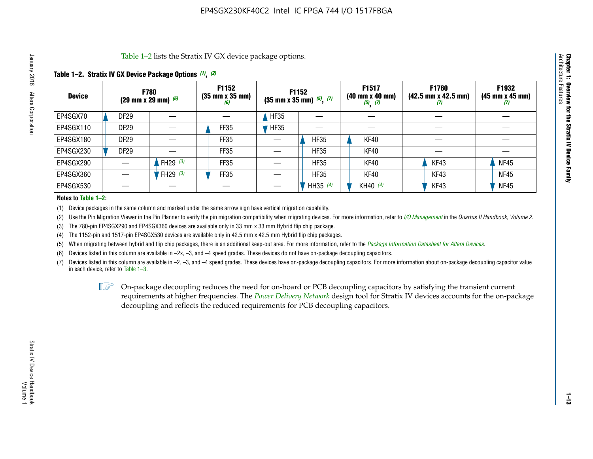Table 1–2 lists the Stratix IV GX device package options.

#### **Table 1–2. Stratix IV GX Device Package Options** *(1)***,** *(2)*

| <b>Device</b> |                  | <b>F780</b><br>(29 mm x 29 mm) $(6)$ | F1152<br>$(35 \, \text{mm} \times 35 \, \text{mm})$<br>(6) |             | <b>F1152</b><br>$(35 \text{ mm} \times 35 \text{ mm})$ $(5)$ , $(7)$ | F1517<br>(40 mm x 40 mm)<br>$(5)$ $(7)$ | <b>F1760</b><br>$(42.5 \text{ mm} \times 42.5 \text{ mm})$<br>(I) | F1932<br>$(45 \, \text{mm} \times 45 \, \text{mm})$<br>(7) |
|---------------|------------------|--------------------------------------|------------------------------------------------------------|-------------|----------------------------------------------------------------------|-----------------------------------------|-------------------------------------------------------------------|------------------------------------------------------------|
| EP4SGX70      | <b>DF29</b>      |                                      |                                                            | <b>HF35</b> |                                                                      |                                         |                                                                   |                                                            |
| EP4SGX110     | <b>DF29</b>      |                                      | FF35                                                       | <b>HF35</b> |                                                                      |                                         |                                                                   |                                                            |
| EP4SGX180     | DF <sub>29</sub> |                                      | FF35                                                       |             | <b>HF35</b>                                                          | KF40                                    |                                                                   |                                                            |
| EP4SGX230     | DF <sub>29</sub> |                                      | FF35                                                       |             | <b>HF35</b>                                                          | KF40                                    |                                                                   |                                                            |
| EP4SGX290     |                  | FH29 $(3)$                           | FF35                                                       |             | <b>HF35</b>                                                          | KF40                                    | KF43                                                              | <b>NF45</b>                                                |
| EP4SGX360     |                  | FH29 (3)                             | FF35                                                       |             | <b>HF35</b>                                                          | KF40                                    | KF43                                                              | <b>NF45</b>                                                |
| EP4SGX530     |                  |                                      |                                                            |             | HH35 $(4)$                                                           | KH40 (4)                                | KF43                                                              | <b>NF45</b>                                                |

#### **Notes to Table 1–2:**

(1) Device packages in the same column and marked under the same arrow sign have vertical migration capability.

(2) Use the Pin Migration Viewer in the Pin Planner to verify the pin migration compatibility when migrating devices. For more information, refer to *[I/O Management](http://www.altera.com/literature/hb/qts/qts_qii52013.pdf)* in the *Quartus II Handbook, Volume 2*.

(3) The 780-pin EP4SGX290 and EP4SGX360 devices are available only in 33 mm x 33 mm Hybrid flip chip package.

(4) The 1152-pin and 1517-pin EP4SGX530 devices are available only in 42.5 mm x 42.5 mm Hybrid flip chip packages.

(5) When migrating between hybrid and flip chip packages, there is an additional keep-out area. For more information, refer to the *[Package Information Datasheet for Altera Devices](http://www.altera.com/literature/ds/dspkg.pdf)*.

(6) Devices listed in this column are available in –2x, –3, and –4 speed grades. These devices do not have on-package decoupling capacitors.

(7) Devices listed in this column are available in –2, –3, and –4 speed grades. These devices have on-package decoupling capacitors. For more information about on-package decoupling capacitor value in each device, refer to Table 1–3.

 $\mathbb{L}$ s On-package decoupling reduces the need for on-board or PCB decoupling capacitors by satisfying the transient current requirements at higher frequencies. The *[Power Delivery Network](http://www.altera.com/literature/ug/pdn_tool_stxiv.zip)* design tool for Stratix IV devices accounts for the on-package decoupling and reflects the reduced requirements for PCB decoupling capacitors.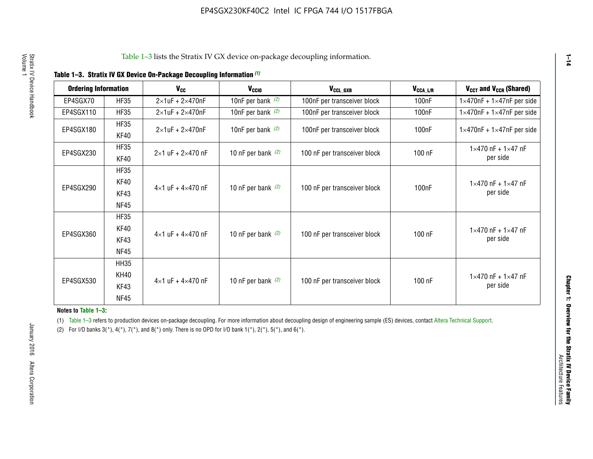|  |  | Table 1-3. Stratix IV GX Device On-Package Decoupling Information (1) |  |  |
|--|--|-----------------------------------------------------------------------|--|--|
|--|--|-----------------------------------------------------------------------|--|--|

| <b>Ordering Information</b> |                            | <b>V<sub>cc</sub></b>               | V <sub>ccio</sub>    | V <sub>CCL GXB</sub>         | V <sub>CCA_L/R</sub> | V <sub>CCT</sub> and V <sub>CCR</sub> (Shared)   |
|-----------------------------|----------------------------|-------------------------------------|----------------------|------------------------------|----------------------|--------------------------------------------------|
| EP4SGX70                    | <b>HF35</b>                | $2\times1$ uF + $2\times470$ nF     | 10nF per bank $(2)$  | 100nF per transceiver block  | 100 <sub>n</sub> F   | $1 \times 470$ nF + $1 \times 47$ nF per side    |
| EP4SGX110                   | <b>HF35</b>                | $2\times1$ uF + $2\times470$ nF     | 10nF per bank $(2)$  | 100nF per transceiver block  | 100 <sub>n</sub> F   | $1\times470$ nF + $1\times47$ nF per side        |
| EP4SGX180                   | <b>HF35</b><br>KF40        | $2\times1$ uF + $2\times470$ nF     | 10nF per bank $(2)$  | 100nF per transceiver block  | 100 <sub>nF</sub>    | $1 \times 470$ nF + $1 \times 47$ nF per side    |
| EP4SGX230                   | <b>HF35</b><br>KF40        | $2 \times 1$ uF + $2 \times 470$ nF | 10 nF per bank $(2)$ | 100 nF per transceiver block | 100 nF               | $1 \times 470$ nF + $1 \times 47$ nF<br>per side |
|                             | <b>HF35</b><br><b>KF40</b> |                                     |                      |                              |                      | $1 \times 470$ nF + $1 \times 47$ nF             |
| EP4SGX290                   | KF43<br><b>NF45</b>        | $4 \times 1$ uF + $4 \times 470$ nF | 10 nF per bank $(2)$ | 100 nF per transceiver block | 100nF                | per side                                         |
|                             | <b>HF35</b><br>KF40        |                                     |                      |                              |                      | $1 \times 470$ nF + $1 \times 47$ nF             |
| EP4SGX360                   | KF43<br><b>NF45</b>        | $4 \times 1$ uF + $4 \times 470$ nF | 10 nF per bank $(2)$ | 100 nF per transceiver block | 100 nF               | per side                                         |
|                             | <b>HH35</b>                |                                     |                      |                              |                      |                                                  |
| EP4SGX530                   | <b>KH40</b><br>KF43        | $4 \times 1$ uF + $4 \times 470$ nF | 10 nF per bank $(2)$ | 100 nF per transceiver block | 100 nF               | $1 \times 470$ nF + $1 \times 47$ nF<br>per side |
|                             | <b>NF45</b>                |                                     |                      |                              |                      |                                                  |

**Notes to Table 1–3:**

(1) Table 1-3 refers to production devices on-package decoupling. For more information about decoupling design of engineering sample (ES) devices, contact [Altera Technical Support](http://mysupport.altera.com/eservice/login.asp).

(2) For I/O banks  $3(*)$ ,  $4(*)$ ,  $7(*)$ , and  $8(*)$  only. There is no OPD for I/O bank  $1(*)$ ,  $2(*)$ ,  $5(*)$ , and  $6(*)$ .

**1–14**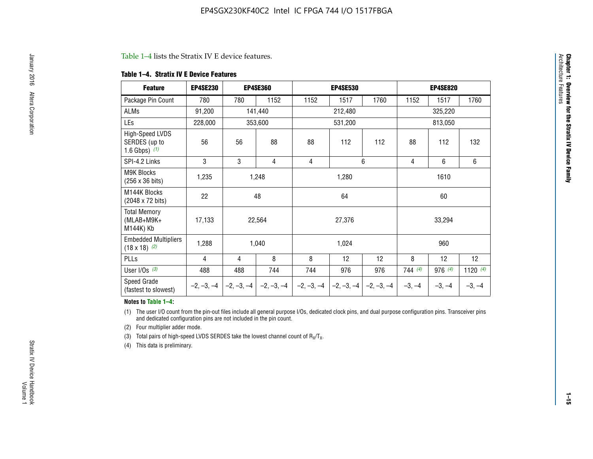#### Table 1–4 lists the Stratix IV E device features.

#### **Table 1–4. Stratix IV E Device Features**

| <b>Feature</b>                                      | <b>EP4SE230</b> |     | <b>EP4SE360</b>                        |              | <b>EP4SE530</b> |              | <b>EP4SE820</b> |          |            |  |
|-----------------------------------------------------|-----------------|-----|----------------------------------------|--------------|-----------------|--------------|-----------------|----------|------------|--|
| Package Pin Count                                   | 780             | 780 | 1152                                   | 1152         | 1517            | 1760         | 1152            | 1517     | 1760       |  |
| ALMs                                                | 91,200          |     | 141,440                                |              | 212,480         |              |                 | 325,220  |            |  |
| LEs                                                 | 228,000         |     | 353,600                                |              | 531,200         |              |                 | 813,050  |            |  |
| High-Speed LVDS<br>SERDES (up to<br>1.6 Gbps) $(1)$ | 56              | 56  | 88                                     | 88           | 112             | 112          | 88              | 112      | 132        |  |
| SPI-4.2 Links                                       | 3               | 3   | 4                                      | 4            |                 | 6            | 4               | 6        | 6          |  |
| <b>M9K Blocks</b><br>(256 x 36 bits)                | 1,235           |     | 1,248                                  |              | 1,280           |              |                 | 1610     |            |  |
| M144K Blocks<br>(2048 x 72 bits)                    | 22              |     | 48<br>64                               |              |                 |              | 60              |          |            |  |
| <b>Total Memory</b><br>$(MLAB+M9K+$<br>M144K) Kb    | 17,133          |     | 22,564                                 |              | 27,376          |              |                 | 33,294   |            |  |
| <b>Embedded Multipliers</b><br>$(18 \times 18)$ (2) | 1,288           |     | 1,040                                  |              | 1,024           |              |                 | 960      |            |  |
| PLLs                                                | 4               | 4   | 8                                      | 8            | 12              | 12           | 8               | 12       | 12         |  |
| User I/Os $(3)$                                     | 488             | 488 | 744                                    | 744          | 976             | 976          | 744(4)          | 976 (4)  | 1120 $(4)$ |  |
| Speed Grade<br>(fastest to slowest)                 |                 |     | $-2, -3, -4$ $-2, -3, -4$ $-2, -3, -4$ | $-2, -3, -4$ | $-2, -3, -4$    | $-2, -3, -4$ | $-3, -4$        | $-3, -4$ | $-3, -4$   |  |

#### **Notes to Table 1–4:**

(1) The user I/O count from the pin-out files include all general purpose I/Os, dedicated clock pins, and dual purpose configuration pins. Transceiver pins and dedicated configuration pins are not included in the pin count.

(2) Four multiplier adder mode.

(3) Total pairs of high-speed LVDS SERDES take the lowest channel count of  $R_X/T_X$ .

(4) This data is preliminary.

**Chapter 1: Overview for the Stratix IV Device Family**

**Chapter 1: Overview for the Stratix IV Device Family**<br>Architecture Faatures

Architecture Features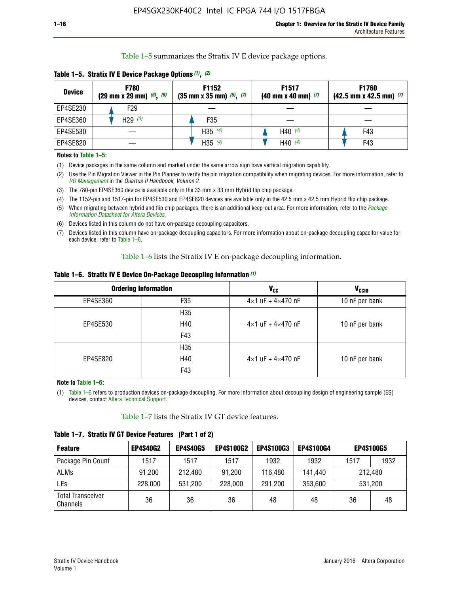Table 1–5 summarizes the Stratix IV E device package options.

| <b>Device</b> | <b>F780</b><br>$(29 \text{ mm} \times 29 \text{ mm})$ $(5)$ , $(6)$ | F1152<br>$(35 \text{ mm} \times 35 \text{ mm})$ $(5)$ $(7)$ | F <sub>1517</sub><br>$(40 \text{ mm} \times 40 \text{ mm})$ (7) | <b>F1760</b><br>$(42.5$ mm x 42.5 mm) $(7)$ |
|---------------|---------------------------------------------------------------------|-------------------------------------------------------------|-----------------------------------------------------------------|---------------------------------------------|
| EP4SE230      | F <sub>29</sub>                                                     |                                                             |                                                                 |                                             |
| EP4SE360      | H29 $(3)$                                                           | F35                                                         |                                                                 |                                             |
| EP4SE530      |                                                                     | H35 $(4)$                                                   | H40 $(4)$                                                       | F43                                         |
| EP4SE820      |                                                                     | H35 $(4)$                                                   | H40 $(4)$                                                       | F43                                         |

**Table 1–5. Stratix IV E Device Package Options** *(1)***,** *(2)*

#### **Notes to Table 1–5:**

(1) Device packages in the same column and marked under the same arrow sign have vertical migration capability.

(2) Use the Pin Migration Viewer in the Pin Planner to verify the pin migration compatibility when migrating devices. For more information, refer to *[I/O Management](http://www.altera.com/literature/hb/qts/qts_qii52013.pdf)* in the *Quartus II Handbook, Volume 2*.

(3) The 780-pin EP4SE360 device is available only in the 33 mm x 33 mm Hybrid flip chip package.

(4) The 1152-pin and 1517-pin for EP4SE530 and EP4SE820 devices are available only in the 42.5 mm x 42.5 mm Hybrid flip chip package.

(5) When migrating between hybrid and flip chip packages, there is an additional keep-out area. For more information, refer to the *[Package](http://www.altera.com/literature/ds/dspkg.pdf)  [Information Datasheet for Altera Devices](http://www.altera.com/literature/ds/dspkg.pdf)*.

(6) Devices listed in this column do not have on-package decoupling capacitors.

(7) Devices listed in this column have on-package decoupling capacitors. For more information about on-package decoupling capacitor value for each device, refer to Table 1–6.

Table 1–6 lists the Stratix IV E on-package decoupling information.

| Table 1–6. Stratix IV E Device On-Package Decoupling Information (1) |  |  |  |  |  |
|----------------------------------------------------------------------|--|--|--|--|--|
|----------------------------------------------------------------------|--|--|--|--|--|

|          | <b>Ordering Information</b> | <b>V<sub>cc</sub></b>               | <b>V<sub>CCIO</sub></b> |
|----------|-----------------------------|-------------------------------------|-------------------------|
| EP4SE360 | F35                         | $4 \times 1$ uF + $4 \times 470$ nF | 10 nF per bank          |
|          | H <sub>35</sub>             |                                     |                         |
| EP4SE530 | H40                         | $4 \times 1$ uF + $4 \times 470$ nF | 10 nF per bank          |
|          | F43                         |                                     |                         |
|          | H <sub>35</sub>             |                                     |                         |
| EP4SE820 | H40                         | $4 \times 1$ uF + $4 \times 470$ nF | 10 nF per bank          |
|          | F43                         |                                     |                         |

**Note to Table 1–6:**

(1) Table 1–6 refers to production devices on-package decoupling. For more information about decoupling design of engineering sample (ES) devices, contact [Altera Technical Support](http://mysupport.altera.com/eservice/login.asp).

Table 1–7 lists the Stratix IV GT device features.

| <b>Feature</b>                       | <b>EP4S40G2</b> | <b>EP4S40G5</b> | <b>EP4S100G2</b> | <b>EP4S100G3</b> | <b>EP4S100G4</b> | <b>EP4S100G5</b> |         |
|--------------------------------------|-----------------|-----------------|------------------|------------------|------------------|------------------|---------|
| Package Pin Count                    | 1517            | 1517            | 1517             | 1932             | 1932             | 1517             | 1932    |
| <b>ALMs</b>                          | 91,200          | 212,480         | 91,200           | 116,480          | 141,440          |                  | 212.480 |
| LEs                                  | 228,000         | 531,200         | 228,000          | 291,200          | 353,600          | 531,200          |         |
| <b>Total Transceiver</b><br>Channels | 36              | 36              | 36               | 48               | 48               | 36               | 48      |

**Table 1–7. Stratix IV GT Device Features (Part 1 of 2)**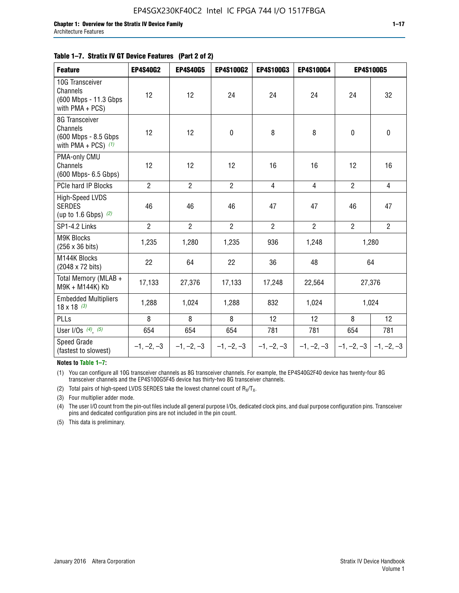|  | Table 1–7. Stratix IV GT Device Features (Part 2 of 2) |  |
|--|--------------------------------------------------------|--|
|--|--------------------------------------------------------|--|

| <b>Feature</b>                                                              | <b>EP4S40G2</b> | <b>EP4S40G5</b> | <b>EP4S100G2</b> | <b>EP4S100G3</b> | EP4S100G4      | <b>EP4S100G5</b>          |                |
|-----------------------------------------------------------------------------|-----------------|-----------------|------------------|------------------|----------------|---------------------------|----------------|
| 10G Transceiver<br>Channels<br>(600 Mbps - 11.3 Gbps)<br>with $PMA + PCS$ ) | 12              | 12              | 24               | 24               | 24             | 24                        | 32             |
| 8G Transceiver<br>Channels<br>(600 Mbps - 8.5 Gbps<br>with PMA + PCS) $(1)$ | 12              | 12              | $\mathbf 0$      | 8                | 8              | $\mathbf 0$               | $\mathbf 0$    |
| PMA-only CMU<br>Channels<br>(600 Mbps- 6.5 Gbps)                            | 12              | 12              | 12               | 16               | 16             | 12                        | 16             |
| PCIe hard IP Blocks                                                         | $\overline{2}$  | $\overline{2}$  | $2^{\circ}$      | $\overline{4}$   | $\overline{4}$ | $\overline{2}$            | $\overline{4}$ |
| High-Speed LVDS<br><b>SERDES</b><br>(up to 1.6 Gbps) $(2)$                  | 46              | 46              | 46               | 47               | 47             | 46                        | 47             |
| SP1-4.2 Links                                                               | $\overline{2}$  | $\overline{2}$  | $\overline{2}$   | $\overline{2}$   | $\overline{2}$ | $\overline{2}$            | $\overline{2}$ |
| <b>M9K Blocks</b><br>(256 x 36 bits)                                        | 1,235           | 1,280           | 1,235            | 936              | 1,248          |                           | 1,280          |
| M144K Blocks<br>(2048 x 72 bits)                                            | 22              | 64              | 22               | 36               | 48             | 64                        |                |
| Total Memory (MLAB +<br>M9K + M144K) Kb                                     | 17,133          | 27,376          | 17,133           | 17,248           | 22,564         |                           | 27,376         |
| <b>Embedded Multipliers</b><br>$18 \times 18^{(3)}$                         | 1,288           | 1,024           | 1,288            | 832              | 1,024          |                           | 1,024          |
| <b>PLLs</b>                                                                 | 8               | 8               | 8                | 12               | 12             | 8                         | 12             |
| User I/Os $(4)$ , $(5)$                                                     | 654             | 654             | 654              | 781              | 781            | 654                       | 781            |
| <b>Speed Grade</b><br>(fastest to slowest)                                  | $-1, -2, -3$    | $-1, -2, -3$    | $-1, -2, -3$     | $-1, -2, -3$     | $-1, -2, -3$   | $ -1, -2, -3  -1, -2, -3$ |                |

**Notes to Table 1–7:**

(1) You can configure all 10G transceiver channels as 8G transceiver channels. For example, the EP4S40G2F40 device has twenty-four 8G transceiver channels and the EP4S100G5F45 device has thirty-two 8G transceiver channels.

(2) Total pairs of high-speed LVDS SERDES take the lowest channel count of  $R_X/T_X$ .

(3) Four multiplier adder mode.

(4) The user I/O count from the pin-out files include all general purpose I/Os, dedicated clock pins, and dual purpose configuration pins. Transceiver pins and dedicated configuration pins are not included in the pin count.

(5) This data is preliminary.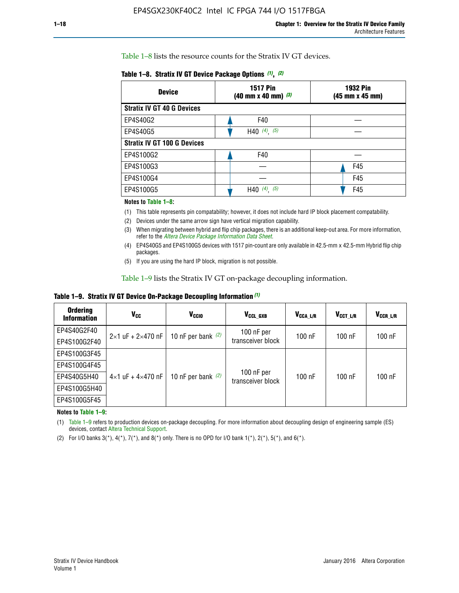Table 1–8 lists the resource counts for the Stratix IV GT devices.

| <b>Device</b>                      | <b>1517 Pin</b><br>$(40 \text{ mm} \times 40 \text{ mm})$ $(3)$ | <b>1932 Pin</b><br>(45 mm x 45 mm) |  |
|------------------------------------|-----------------------------------------------------------------|------------------------------------|--|
| <b>Stratix IV GT 40 G Devices</b>  |                                                                 |                                    |  |
| EP4S40G2                           | F40                                                             |                                    |  |
| EP4S40G5                           | H40 $(4)$ , $(5)$                                               |                                    |  |
| <b>Stratix IV GT 100 G Devices</b> |                                                                 |                                    |  |
| EP4S100G2                          | F40                                                             |                                    |  |
| EP4S100G3                          |                                                                 | F45                                |  |
| EP4S100G4                          |                                                                 | F45                                |  |
| EP4S100G5                          | $(4)$ , $(5)$<br>H40                                            | F45                                |  |

#### **Notes to Table 1–8:**

(1) This table represents pin compatability; however, it does not include hard IP block placement compatability.

- (2) Devices under the same arrow sign have vertical migration capability.
- (3) When migrating between hybrid and flip chip packages, there is an additional keep-out area. For more information, refer to the *[Altera Device Package Information Data Sheet](http://www.altera.com/literature/ds/dspkg.pdf)*.
- (4) EP4S40G5 and EP4S100G5 devices with 1517 pin-count are only available in 42.5-mm x 42.5-mm Hybrid flip chip packages.
- (5) If you are using the hard IP block, migration is not possible.

Table 1–9 lists the Stratix IV GT on-package decoupling information.

**Table 1–9. Stratix IV GT Device On-Package Decoupling Information** *(1)*

| <b>Ordering</b><br><b>Information</b> | Vcc                                 | <b>V<sub>CCIO</sub></b> | V <sub>CCL GXB</sub>            | V <sub>CCA L/R</sub> | V <sub>CCT L/R</sub> | $V_{CCR\_L/R}$ |
|---------------------------------------|-------------------------------------|-------------------------|---------------------------------|----------------------|----------------------|----------------|
| EP4S40G2F40                           | $2 \times 1$ uF + $2 \times 470$ nF | 10 nF per bank $(2)$    | 100 nF per<br>transceiver block | $100$ nF             | $100$ nF             | 100 nF         |
| EP4S100G2F40                          |                                     |                         |                                 |                      |                      |                |
| EP4S100G3F45                          |                                     | 10 nF per bank $(2)$    | 100 nF per<br>transceiver block | $100$ nF             | $100$ nF             | $100$ nF       |
| EP4S100G4F45                          |                                     |                         |                                 |                      |                      |                |
| EP4S40G5H40                           | $4\times1$ uF + $4\times470$ nF     |                         |                                 |                      |                      |                |
| EP4S100G5H40                          |                                     |                         |                                 |                      |                      |                |
| EP4S100G5F45                          |                                     |                         |                                 |                      |                      |                |

**Notes to Table 1–9:**

(1) Table 1–9 refers to production devices on-package decoupling. For more information about decoupling design of engineering sample (ES) devices, contact [Altera Technical Support](http://mysupport.altera.com/eservice/login.asp).

(2) For I/O banks  $3(*)$ ,  $4(*)$ ,  $7(*)$ , and  $8(*)$  only. There is no OPD for I/O bank  $1(*)$ ,  $2(*)$ ,  $5(*)$ , and  $6(*)$ .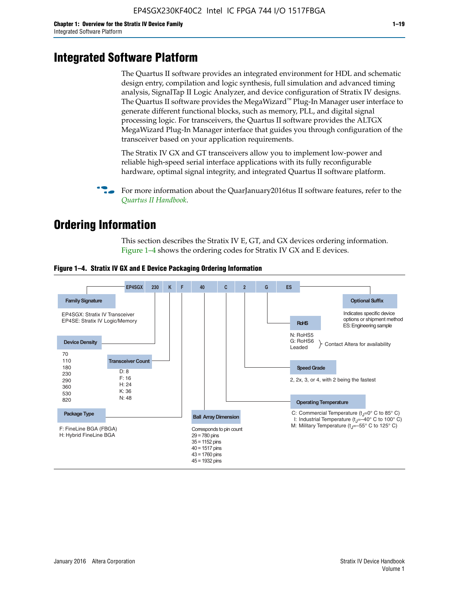# **Integrated Software Platform**

The Quartus II software provides an integrated environment for HDL and schematic design entry, compilation and logic synthesis, full simulation and advanced timing analysis, SignalTap II Logic Analyzer, and device configuration of Stratix IV designs. The Quartus II software provides the MegaWizard<sup> $M$ </sup> Plug-In Manager user interface to generate different functional blocks, such as memory, PLL, and digital signal processing logic. For transceivers, the Quartus II software provides the ALTGX MegaWizard Plug-In Manager interface that guides you through configuration of the transceiver based on your application requirements.

The Stratix IV GX and GT transceivers allow you to implement low-power and reliable high-speed serial interface applications with its fully reconfigurable hardware, optimal signal integrity, and integrated Quartus II software platform.

For more information about the QuarJanuary2016tus II software features, refer to the *[Quartus II Handbook](http://www.altera.com/literature/lit-qts.jsp)*.

# **Ordering Information**

This section describes the Stratix IV E, GT, and GX devices ordering information. Figure 1–4 shows the ordering codes for Stratix IV GX and E devices.



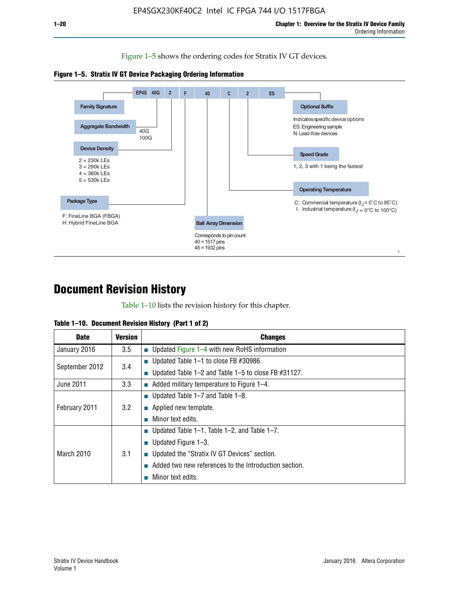Figure 1–5 shows the ordering codes for Stratix IV GT devices.





# **Document Revision History**

Table 1–10 lists the revision history for this chapter.

| <b>Date</b>       | <b>Version</b> | <b>Changes</b>                                           |
|-------------------|----------------|----------------------------------------------------------|
| January 2016      | 3.5            | <b>Updated Figure 1–4 with new RoHS information</b>      |
| September 2012    | 3.4            | ■ Updated Table $1-1$ to close FB #30986.                |
|                   |                | ■ Updated Table 1–2 and Table 1–5 to close FB $#31127$ . |
| June 2011         | 3.3            | $\blacksquare$ Added military temperature to Figure 1–4. |
| February 2011     | 3.2            | ■ Updated Table $1-7$ and Table $1-8$ .                  |
|                   |                | $\blacksquare$ Applied new template.                     |
|                   |                | Minor text edits.                                        |
| <b>March 2010</b> | 3.1            | ■ Updated Table 1–1, Table 1–2, and Table 1–7.           |
|                   |                | ■ Updated Figure $1-3$ .                                 |
|                   |                | ■ Updated the "Stratix IV GT Devices" section.           |
|                   |                | Added two new references to the Introduction section.    |
|                   |                | Minor text edits.                                        |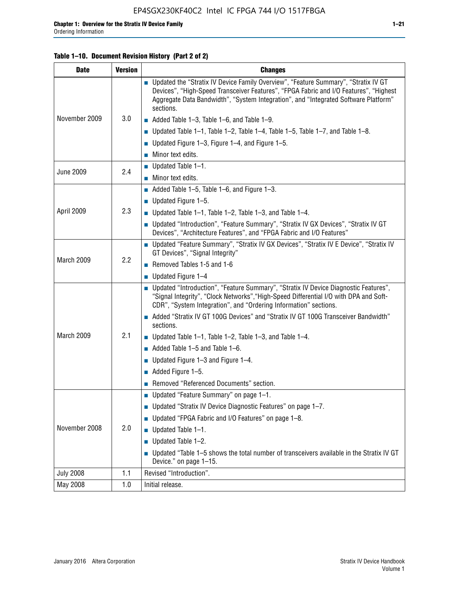#### **Table 1–10. Document Revision History (Part 2 of 2)**

| <b>Date</b>      | <b>Version</b>                          | <b>Changes</b>                                                                                                                                                                                                                                                                    |  |
|------------------|-----------------------------------------|-----------------------------------------------------------------------------------------------------------------------------------------------------------------------------------------------------------------------------------------------------------------------------------|--|
| November 2009    | 3.0                                     | ■ Updated the "Stratix IV Device Family Overview", "Feature Summary", "Stratix IV GT<br>Devices", "High-Speed Transceiver Features", "FPGA Fabric and I/O Features", "Highest<br>Aggregate Data Bandwidth", "System Integration", and "Integrated Software Platform"<br>sections. |  |
|                  |                                         | $\blacksquare$ Added Table 1-3, Table 1-6, and Table 1-9.                                                                                                                                                                                                                         |  |
|                  |                                         | $\blacksquare$ Updated Table 1-1, Table 1-2, Table 1-4, Table 1-5, Table 1-7, and Table 1-8.                                                                                                                                                                                      |  |
|                  |                                         | ■ Updated Figure 1–3, Figure 1–4, and Figure 1–5.                                                                                                                                                                                                                                 |  |
|                  |                                         | $\blacksquare$ Minor text edits.                                                                                                                                                                                                                                                  |  |
|                  | 2.4                                     | $\blacksquare$ Updated Table 1-1.                                                                                                                                                                                                                                                 |  |
| <b>June 2009</b> |                                         | Minor text edits.                                                                                                                                                                                                                                                                 |  |
|                  |                                         | $\blacksquare$ Added Table 1–5, Table 1–6, and Figure 1–3.                                                                                                                                                                                                                        |  |
|                  |                                         | $\blacksquare$ Updated Figure 1-5.                                                                                                                                                                                                                                                |  |
| April 2009       | 2.3                                     | Updated Table $1-1$ , Table $1-2$ , Table $1-3$ , and Table $1-4$ .                                                                                                                                                                                                               |  |
|                  |                                         | ■ Updated "Introduction", "Feature Summary", "Stratix IV GX Devices", "Stratix IV GT<br>Devices", "Architecture Features", and "FPGA Fabric and I/O Features"                                                                                                                     |  |
| March 2009       | 2.2                                     | ■ Updated "Feature Summary", "Stratix IV GX Devices", "Stratix IV E Device", "Stratix IV<br>GT Devices", "Signal Integrity"                                                                                                                                                       |  |
|                  |                                         | Removed Tables 1-5 and 1-6                                                                                                                                                                                                                                                        |  |
|                  |                                         | Updated Figure 1-4                                                                                                                                                                                                                                                                |  |
|                  |                                         | ■ Updated "Introduction", "Feature Summary", "Stratix IV Device Diagnostic Features",<br>"Signal Integrity", "Clock Networks", "High-Speed Differential I/O with DPA and Soft-<br>CDR", "System Integration", and "Ordering Information" sections.                                |  |
|                  |                                         | Added "Stratix IV GT 100G Devices" and "Stratix IV GT 100G Transceiver Bandwidth"<br>sections.                                                                                                                                                                                    |  |
| March 2009       | 2.1                                     | <b>Updated Table 1–1, Table 1–2, Table 1–3, and Table 1–4.</b>                                                                                                                                                                                                                    |  |
|                  |                                         | $\blacksquare$ Added Table 1-5 and Table 1-6.                                                                                                                                                                                                                                     |  |
|                  |                                         | ■ Updated Figure $1-3$ and Figure $1-4$ .                                                                                                                                                                                                                                         |  |
|                  |                                         | $\blacksquare$ Added Figure 1-5.                                                                                                                                                                                                                                                  |  |
|                  | Removed "Referenced Documents" section. |                                                                                                                                                                                                                                                                                   |  |
|                  |                                         | Updated "Feature Summary" on page 1-1.                                                                                                                                                                                                                                            |  |
| November 2008    | 2.0                                     | ■ Updated "Stratix IV Device Diagnostic Features" on page 1-7.                                                                                                                                                                                                                    |  |
|                  |                                         | Updated "FPGA Fabric and I/O Features" on page 1-8.                                                                                                                                                                                                                               |  |
|                  |                                         | $\blacksquare$ Updated Table 1-1.                                                                                                                                                                                                                                                 |  |
|                  |                                         | Updated Table 1-2.                                                                                                                                                                                                                                                                |  |
|                  |                                         | Updated "Table 1-5 shows the total number of transceivers available in the Stratix IV GT<br>Device." on page 1-15.                                                                                                                                                                |  |
| <b>July 2008</b> | 1.1                                     | Revised "Introduction".                                                                                                                                                                                                                                                           |  |
| May 2008         | 1.0                                     | Initial release.                                                                                                                                                                                                                                                                  |  |